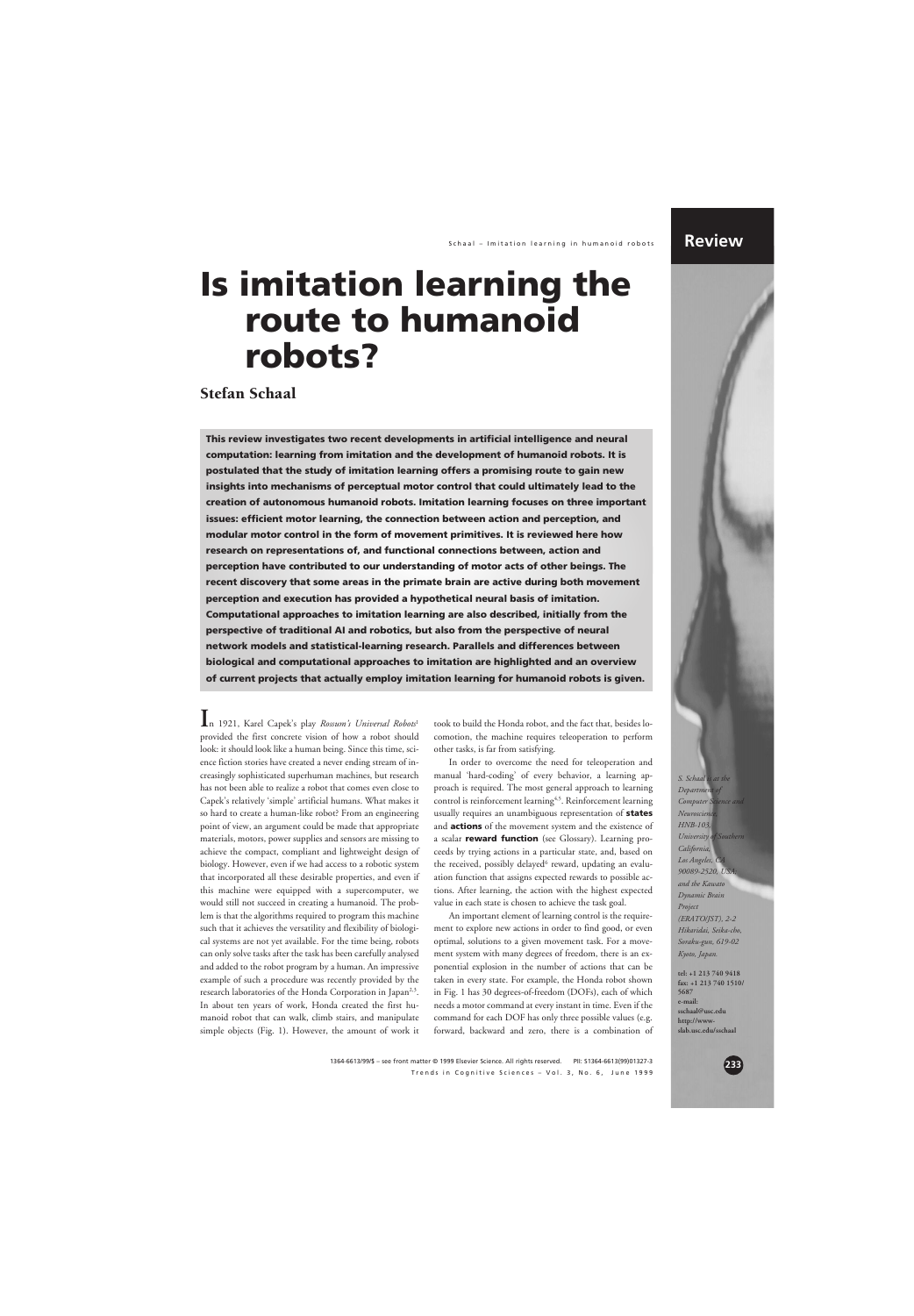# **Is imitation learning the route to humanoid robots?**

## Stefan Schaal

**This review investigates two recent developments in artificial intelligence and neural computation: learning from imitation and the development of humanoid robots. It is postulated that the study of imitation learning offers a promising route to gain new insights into mechanisms of perceptual motor control that could ultimately lead to the creation of autonomous humanoid robots. Imitation learning focuses on three important issues: efficient motor learning, the connection between action and perception, and modular motor control in the form of movement primitives. It is reviewed here how research on representations of, and functional connections between, action and perception have contributed to our understanding of motor acts of other beings. The recent discovery that some areas in the primate brain are active during both movement perception and execution has provided a hypothetical neural basis of imitation. Computational approaches to imitation learning are also described, initially from the perspective of traditional AI and robotics, but also from the perspective of neural network models and statistical-learning research. Parallels and differences between biological and computational approaches to imitation are highlighted and an overview of current projects that actually employ imitation learning for humanoid robots is given.**

**I**n 1921, Karel Capek's play *Rossum's Universal Robots*<sup>1</sup> provided the first concrete vision of how a robot should look: it should look like a human being. Since this time, science fiction stories have created a never ending stream of increasingly sophisticated superhuman machines, but research has not been able to realize a robot that comes even close to Capek's relatively 'simple' artificial humans. What makes it so hard to create a human-like robot? From an engineering point of view, an argument could be made that appropriate materials, motors, power supplies and sensors are missing to achieve the compact, compliant and lightweight design of biology. However, even if we had access to a robotic system that incorporated all these desirable properties, and even if this machine were equipped with a supercomputer, we would still not succeed in creating a humanoid. The problem is that the algorithms required to program this machine such that it achieves the versatility and flexibility of biological systems are not yet available. For the time being, robots can only solve tasks after the task has been carefully analysed and added to the robot program by a human. An impressive example of such a procedure was recently provided by the research laboratories of the Honda Corporation in Japan<sup>2,3</sup>. In about ten years of work, Honda created the first humanoid robot that can walk, climb stairs, and manipulate simple objects (Fig. 1). However, the amount of work it

took to build the Honda robot, and the fact that, besides locomotion, the machine requires teleoperation to perform other tasks, is far from satisfying.

In order to overcome the need for teleoperation and manual 'hard-coding' of every behavior, a learning approach is required. The most general approach to learning control is reinforcement learning<sup>4,5</sup>. Reinforcement learning usually requires an unambiguous representation of **states** and **actions** of the movement system and the existence of a scalar **reward function** (see Glossary). Learning proceeds by trying actions in a particular state, and, based on the received, possibly delayed<sup>6</sup> reward, updating an evaluation function that assigns expected rewards to possible actions. After learning, the action with the highest expected value in each state is chosen to achieve the task goal.

An important element of learning control is the requirement to explore new actions in order to find good, or even optimal, solutions to a given movement task. For a movement system with many degrees of freedom, there is an exponential explosion in the number of actions that can be taken in every state. For example, the Honda robot shown in Fig. 1 has 30 degrees-of-freedom (DOFs), each of which needs a motor command at every instant in time. Even if the command for each DOF has only three possible values (e.g. forward, backward and zero, there is a combination of **Review**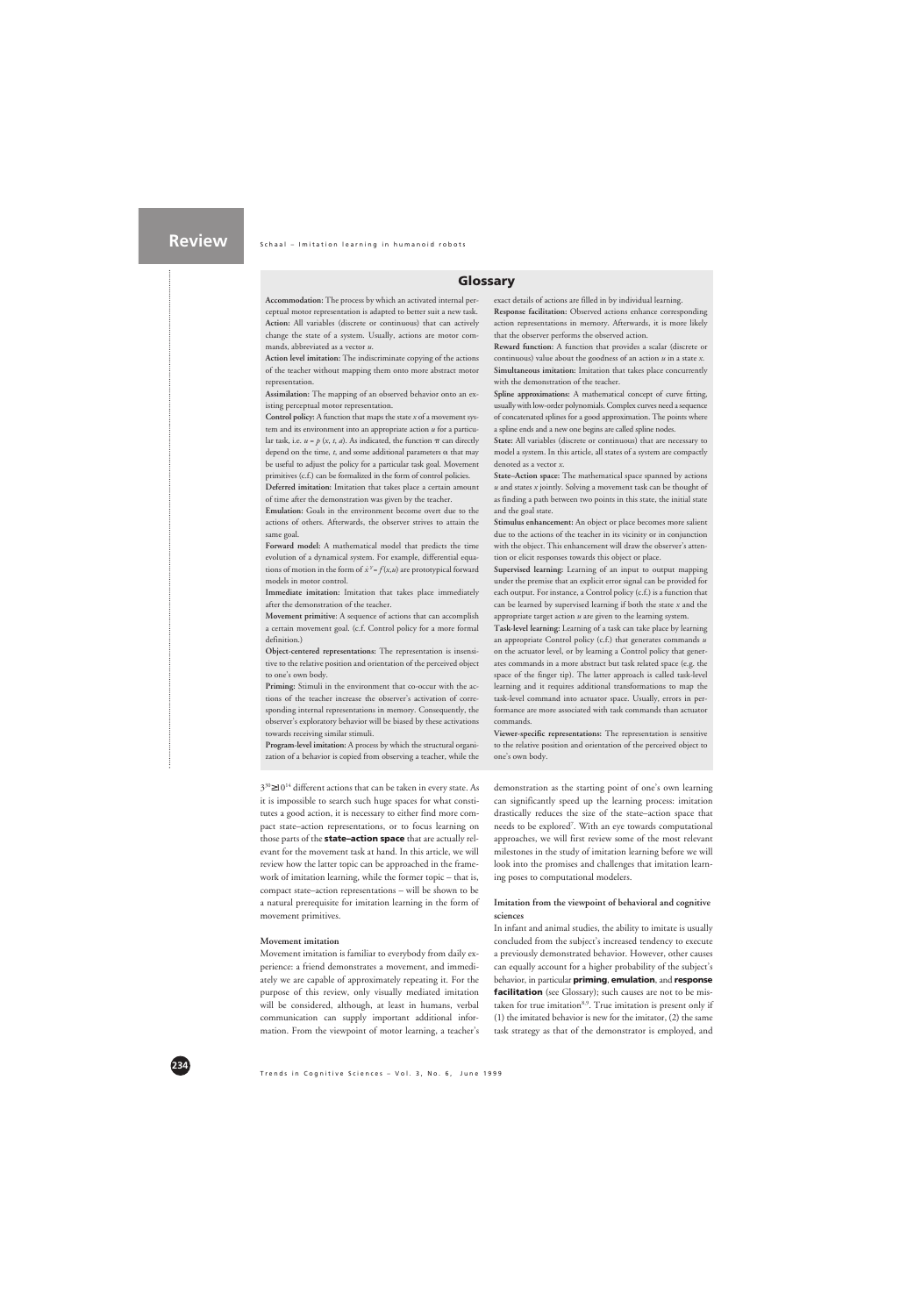### **Glossary**

**Accommodation:** The process by which an activated internal perceptual motor representation is adapted to better suit a new task. **Action:** All variables (discrete or continuous) that can actively change the state of a system. Usually, actions are motor commands, abbreviated as a vector *u*.

**Action level imitation:** The indiscriminate copying of the actions of the teacher without mapping them onto more abstract motor representation.

**Assimilation:** The mapping of an observed behavior onto an existing perceptual motor representation.

**Control policy:** A function that maps the state *x* of a movement system and its environment into an appropriate action *u* for a particular task, i.e.  $u = p(x, t, a)$ . As indicated, the function  $\pi$  can directly depend on the time,  $t$ , and some additional parameters  $\alpha$  that may be useful to adjust the policy for a particular task goal. Movement primitives (c.f.) can be formalized in the form of control policies.

**Deferred imitation:** Imitation that takes place a certain amount of time after the demonstration was given by the teacher.

**Emulation:** Goals in the environment become overt due to the actions of others. Afterwards, the observer strives to attain the same goal.

**Forward model:** A mathematical model that predicts the time evolution of a dynamical system. For example, differential equations of motion in the form of  $\dot{x}^Y = f(x, u)$  are prototypical forward models in motor control.

**Immediate imitation:** Imitation that takes place immediately after the demonstration of the teacher.

**Movement primitive**: A sequence of actions that can accomplish a certain movement goal. (c.f. Control policy for a more formal definition.)

**Object-centered representations:** The representation is insensitive to the relative position and orientation of the perceived object to one's own body.

**Priming:** Stimuli in the environment that co-occur with the actions of the teacher increase the observer's activation of corresponding internal representations in memory. Consequently, the observer's exploratory behavior will be biased by these activations towards receiving similar stimuli.

**Program-level imitation:** A process by which the structural organization of a behavior is copied from observing a teacher, while the

3<sup>30</sup>≥10<sup>14</sup> different actions that can be taken in every state. As it is impossible to search such huge spaces for what constitutes a good action, it is necessary to either find more compact state–action representations, or to focus learning on those parts of the **state–action space** that are actually relevant for the movement task at hand. In this article, we will review how the latter topic can be approached in the framework of imitation learning, while the former topic – that is, compact state–action representations – will be shown to be a natural prerequisite for imitation learning in the form of movement primitives.

#### **Movement imitation**

**234**

Movement imitation is familiar to everybody from daily experience: a friend demonstrates a movement, and immediately we are capable of approximately repeating it. For the purpose of this review, only visually mediated imitation will be considered, although, at least in humans, verbal communication can supply important additional information. From the viewpoint of motor learning, a teacher's exact details of actions are filled in by individual learning.

**Response facilitation:** Observed actions enhance corresponding action representations in memory. Afterwards, it is more likely that the observer performs the observed action.

**Reward function:** A function that provides a scalar (discrete or continuous) value about the goodness of an action *u* in a state *x*. **Simultaneous imitation:** Imitation that takes place concurrently with the demonstration of the teacher.

**Spline approximations:** A mathematical concept of curve fitting, usually with low-order polynomials. Complex curves need a sequence of concatenated splines for a good approximation. The points where a spline ends and a new one begins are called spline nodes.

**State:** All variables (discrete or continuous) that are necessary to model a system. In this article, all states of a system are compactly denoted as a vector *x*.

**State–Action space:** The mathematical space spanned by actions *u* and states *x* jointly. Solving a movement task can be thought of as finding a path between two points in this state, the initial state and the goal state.

**Stimulus enhancement:** An object or place becomes more salient due to the actions of the teacher in its vicinity or in conjunction with the object. This enhancement will draw the observer's attention or elicit responses towards this object or place.

**Supervised learning:** Learning of an input to output mapping under the premise that an explicit error signal can be provided for each output. For instance, a Control policy (c.f.) is a function that can be learned by supervised learning if both the state *x* and the appropriate target action *u* are given to the learning system.

**Task-level learning:** Learning of a task can take place by learning an appropriate Control policy (c.f.) that generates commands *u* on the actuator level, or by learning a Control policy that generates commands in a more abstract but task related space (e.g. the space of the finger tip). The latter approach is called task-level learning and it requires additional transformations to map the task-level command into actuator space. Usually, errors in performance are more associated with task commands than actuator commands.

**Viewer-specific representations:** The representation is sensitive to the relative position and orientation of the perceived object to one's own body.

demonstration as the starting point of one's own learning can significantly speed up the learning process: imitation drastically reduces the size of the state–action space that needs to be explored7 . With an eye towards computational approaches, we will first review some of the most relevant milestones in the study of imitation learning before we will look into the promises and challenges that imitation learning poses to computational modelers.

#### **Imitation from the viewpoint of behavioral and cognitive sciences**

In infant and animal studies, the ability to imitate is usually concluded from the subject's increased tendency to execute a previously demonstrated behavior. However, other causes can equally account for a higher probability of the subject's behavior, in particular **priming**, **emulation**, and **response facilitation** (see Glossary); such causes are not to be mistaken for true imitation<sup>8,9</sup>. True imitation is present only if (1) the imitated behavior is new for the imitator, (2) the same task strategy as that of the demonstrator is employed, and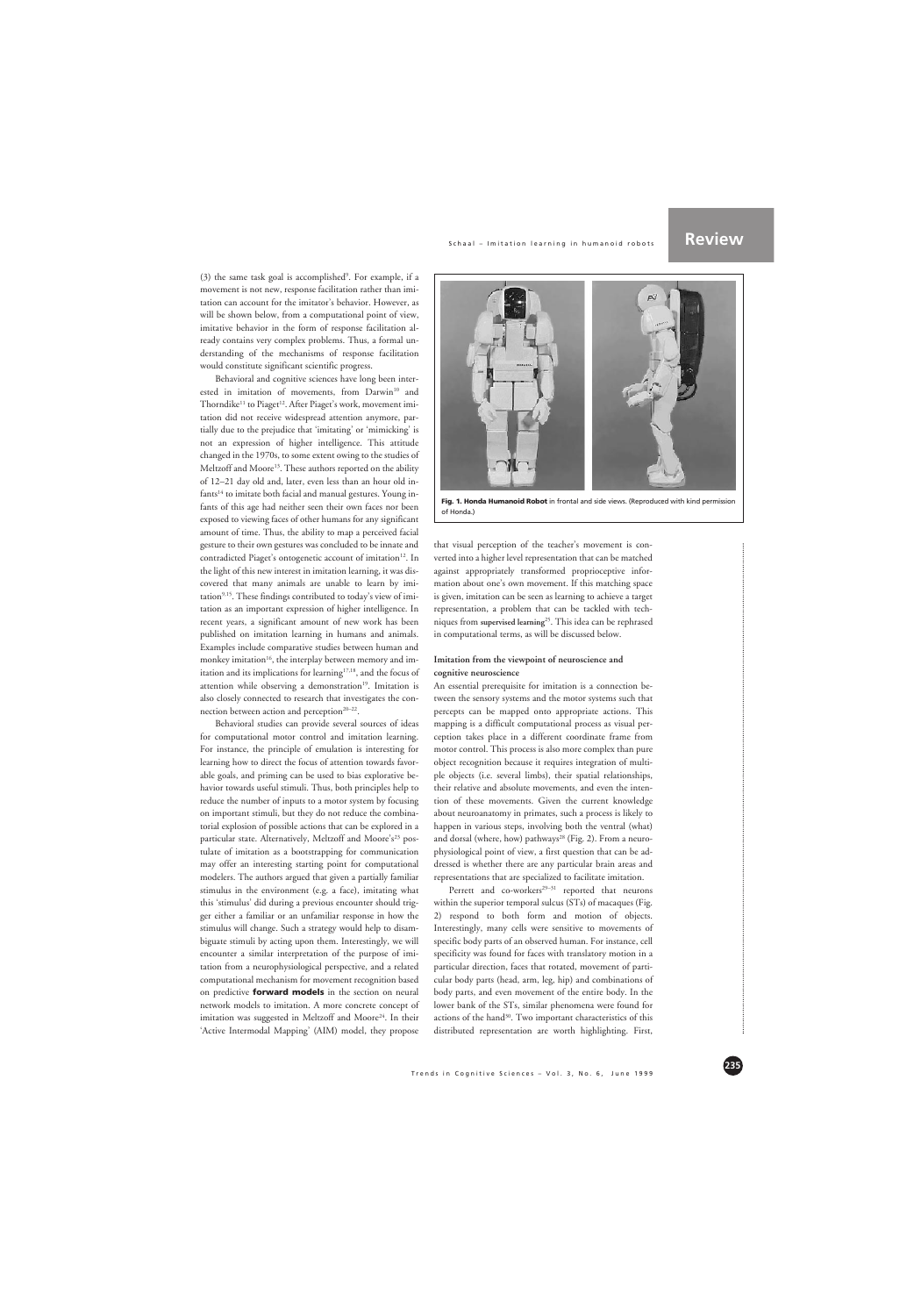## **Review**

(3) the same task goal is accomplished<sup>9</sup>. For example, if a movement is not new, response facilitation rather than imitation can account for the imitator's behavior. However, as will be shown below, from a computational point of view, imitative behavior in the form of response facilitation already contains very complex problems. Thus, a formal understanding of the mechanisms of response facilitation would constitute significant scientific progress.

Behavioral and cognitive sciences have long been interested in imitation of movements, from Darwin<sup>10</sup> and Thorndike<sup>11</sup> to Piaget<sup>12</sup>. After Piaget's work, movement imitation did not receive widespread attention anymore, partially due to the prejudice that 'imitating' or 'mimicking' is not an expression of higher intelligence. This attitude changed in the 1970s, to some extent owing to the studies of Meltzoff and Moore<sup>13</sup>. These authors reported on the ability of 12–21 day old and, later, even less than an hour old infants<sup>14</sup> to imitate both facial and manual gestures. Young infants of this age had neither seen their own faces nor been exposed to viewing faces of other humans for any significant amount of time. Thus, the ability to map a perceived facial gesture to their own gestures was concluded to be innate and contradicted Piaget's ontogenetic account of imitation<sup>12</sup>. In the light of this new interest in imitation learning, it was discovered that many animals are unable to learn by imitation<sup>9,15</sup>. These findings contributed to today's view of imitation as an important expression of higher intelligence. In recent years, a significant amount of new work has been published on imitation learning in humans and animals. Examples include comparative studies between human and monkey imitation<sup>16</sup>, the interplay between memory and imitation and its implications for learning<sup>17,18</sup>, and the focus of attention while observing a demonstration<sup>19</sup>. Imitation is also closely connected to research that investigates the connection between action and perception<sup>20-22</sup>.

Behavioral studies can provide several sources of ideas for computational motor control and imitation learning. For instance, the principle of emulation is interesting for learning how to direct the focus of attention towards favorable goals, and priming can be used to bias explorative behavior towards useful stimuli. Thus, both principles help to reduce the number of inputs to a motor system by focusing on important stimuli, but they do not reduce the combinatorial explosion of possible actions that can be explored in a particular state. Alternatively, Meltzoff and Moore's<sup>23</sup> postulate of imitation as a bootstrapping for communication may offer an interesting starting point for computational modelers. The authors argued that given a partially familiar stimulus in the environment (e.g. a face), imitating what this 'stimulus' did during a previous encounter should trigger either a familiar or an unfamiliar response in how the stimulus will change. Such a strategy would help to disambiguate stimuli by acting upon them. Interestingly, we will encounter a similar interpretation of the purpose of imitation from a neurophysiological perspective, and a related computational mechanism for movement recognition based on predictive **forward models** in the section on neural network models to imitation. A more concrete concept of imitation was suggested in Meltzoff and Moore<sup>24</sup>. In their 'Active Intermodal Mapping' (AIM) model, they propose



**Fig. 1. Honda Humanoid Robot** in frontal and side views. (Reproduced with kind permission of Honda.)

that visual perception of the teacher's movement is converted into a higher level representation that can be matched against appropriately transformed proprioceptive information about one's own movement. If this matching space is given, imitation can be seen as learning to achieve a target representation, a problem that can be tackled with techniques from **supervised learning**25. This idea can be rephrased in computational terms, as will be discussed below.

#### **Imitation from the viewpoint of neuroscience and cognitive neuroscience**

An essential prerequisite for imitation is a connection between the sensory systems and the motor systems such that percepts can be mapped onto appropriate actions. This mapping is a difficult computational process as visual perception takes place in a different coordinate frame from motor control. This process is also more complex than pure object recognition because it requires integration of multiple objects (i.e. several limbs), their spatial relationships, their relative and absolute movements, and even the intention of these movements. Given the current knowledge about neuroanatomy in primates, such a process is likely to happen in various steps, involving both the ventral (what) and dorsal (where, how) pathways<sup>28</sup> (Fig. 2). From a neurophysiological point of view, a first question that can be addressed is whether there are any particular brain areas and representations that are specialized to facilitate imitation.

Perrett and  $\text{co-workers}^{29-31}$  reported that neurons within the superior temporal sulcus (STs) of macaques (Fig. 2) respond to both form and motion of objects. Interestingly, many cells were sensitive to movements of specific body parts of an observed human. For instance, cell specificity was found for faces with translatory motion in a particular direction, faces that rotated, movement of particular body parts (head, arm, leg, hip) and combinations of body parts, and even movement of the entire body. In the lower bank of the STs, similar phenomena were found for actions of the hand<sup>30</sup>. Two important characteristics of this distributed representation are worth highlighting. First,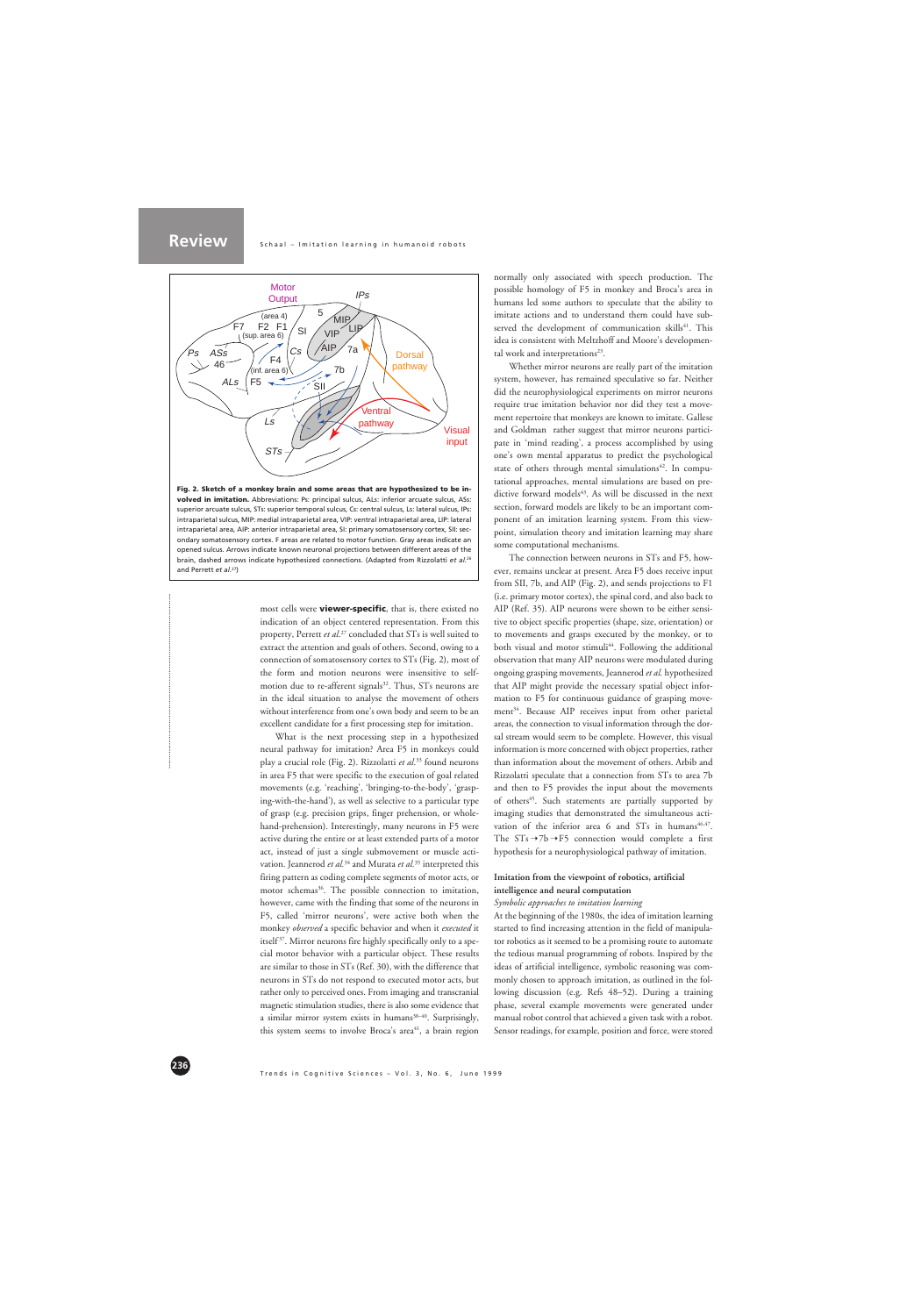**236**



**Fig. 2. Sketch of a monkey brain and some areas that are hypothesized to be involved in imitation.** Abbreviations: Ps: principal sulcus, ALs: inferior arcuate sulcus, ASs: superior arcuate sulcus, STs: superior temporal sulcus, Cs: central sulcus, Ls: lateral sulcus, IPs: intraparietal sulcus, MIP: medial intraparietal area, VIP: ventral intraparietal area, LIP: lateral intraparietal area, AIP: anterior intraparietal area, SI: primary somatosensory cortex, SII: secondary somatosensory cortex. F areas are related to motor function. Gray areas indicate an opened sulcus. Arrows indicate known neuronal projections between different areas of the brain, dashed arrows indicate hypothesized connections. (Adapted from Rizzolatti *et al.*<sup>26</sup> and Perrett *et al.*27)

most cells were **viewer-specific**, that is, there existed no indication of an object centered representation. From this property, Perrett *et al*. <sup>27</sup> concluded that STs is well suited to extract the attention and goals of others. Second, owing to a connection of somatosensory cortex to STs (Fig. 2), most of the form and motion neurons were insensitive to selfmotion due to re-afferent signals<sup>32</sup>. Thus, STs neurons are in the ideal situation to analyse the movement of others without interference from one's own body and seem to be an excellent candidate for a first processing step for imitation.

What is the next processing step in a hypothesized neural pathway for imitation? Area F5 in monkeys could play a crucial role (Fig. 2). Rizzolatti *et al*. <sup>33</sup> found neurons in area F5 that were specific to the execution of goal related movements (e.g. 'reaching', 'bringing-to-the-body', 'grasping-with-the-hand'), as well as selective to a particular type of grasp (e.g. precision grips, finger prehension, or wholehand-prehension). Interestingly, many neurons in F5 were active during the entire or at least extended parts of a motor act, instead of just a single submovement or muscle activation. Jeannerod *et al.*<sup>34</sup> and Murata *et al.*<sup>35</sup> interpreted this firing pattern as coding complete segments of motor acts, or motor schemas<sup>36</sup>. The possible connection to imitation, however, came with the finding that some of the neurons in F5, called 'mirror neurons', were active both when the monkey *observed* a specific behavior and when it *executed* it itself<sup>37</sup>. Mirror neurons fire highly specifically only to a special motor behavior with a particular object. These results are similar to those in STs (Ref. 30), with the difference that neurons in STs do not respond to executed motor acts, but rather only to perceived ones. From imaging and transcranial magnetic stimulation studies, there is also some evidence that a similar mirror system exists in humans<sup>38-40</sup>. Surprisingly, this system seems to involve Broca's area<sup>41</sup>, a brain region

normally only associated with speech production. The possible homology of F5 in monkey and Broca's area in humans led some authors to speculate that the ability to imitate actions and to understand them could have subserved the development of communication skills<sup>41</sup>. This idea is consistent with Meltzhoff and Moore's developmental work and interpretations<sup>23</sup>.

Whether mirror neurons are really part of the imitation system, however, has remained speculative so far. Neither did the neurophysiological experiments on mirror neurons require true imitation behavior nor did they test a movement repertoire that monkeys are known to imitate. Gallese and Goldman rather suggest that mirror neurons participate in 'mind reading', a process accomplished by using one's own mental apparatus to predict the psychological state of others through mental simulations<sup>42</sup>. In computational approaches, mental simulations are based on predictive forward models<sup>43</sup>. As will be discussed in the next section, forward models are likely to be an important component of an imitation learning system. From this viewpoint, simulation theory and imitation learning may share some computational mechanisms.

The connection between neurons in STs and F5, however, remains unclear at present. Area F5 does receive input from SII, 7b, and AIP (Fig. 2), and sends projections to F1 (i.e. primary motor cortex), the spinal cord, and also back to AIP (Ref. 35). AIP neurons were shown to be either sensitive to object specific properties (shape, size, orientation) or to movements and grasps executed by the monkey, or to both visual and motor stimuli<sup>44</sup>. Following the additional observation that many AIP neurons were modulated during ongoing grasping movements, Jeannerod *et al.* hypothesized that AIP might provide the necessary spatial object information to F5 for continuous guidance of grasping movement<sup>34</sup>. Because AIP receives input from other parietal areas, the connection to visual information through the dorsal stream would seem to be complete. However, this visual information is more concerned with object properties, rather than information about the movement of others. Arbib and Rizzolatti speculate that a connection from STs to area 7b and then to F5 provides the input about the movements of others<sup>45</sup>. Such statements are partially supported by imaging studies that demonstrated the simultaneous activation of the inferior area 6 and  $STs$  in humans<sup>46,47</sup>. The  $STs \rightarrow 7b \rightarrow F5$  connection would complete a first hypothesis for a neurophysiological pathway of imitation.

#### **Imitation from the viewpoint of robotics, artificial intelligence and neural computation**

#### *Symbolic approaches to imitation learning*

At the beginning of the 1980s, the idea of imitation learning started to find increasing attention in the field of manipulator robotics as it seemed to be a promising route to automate the tedious manual programming of robots. Inspired by the ideas of artificial intelligence, symbolic reasoning was commonly chosen to approach imitation, as outlined in the following discussion (e.g. Refs 48–52). During a training phase, several example movements were generated under manual robot control that achieved a given task with a robot. Sensor readings, for example, position and force, were stored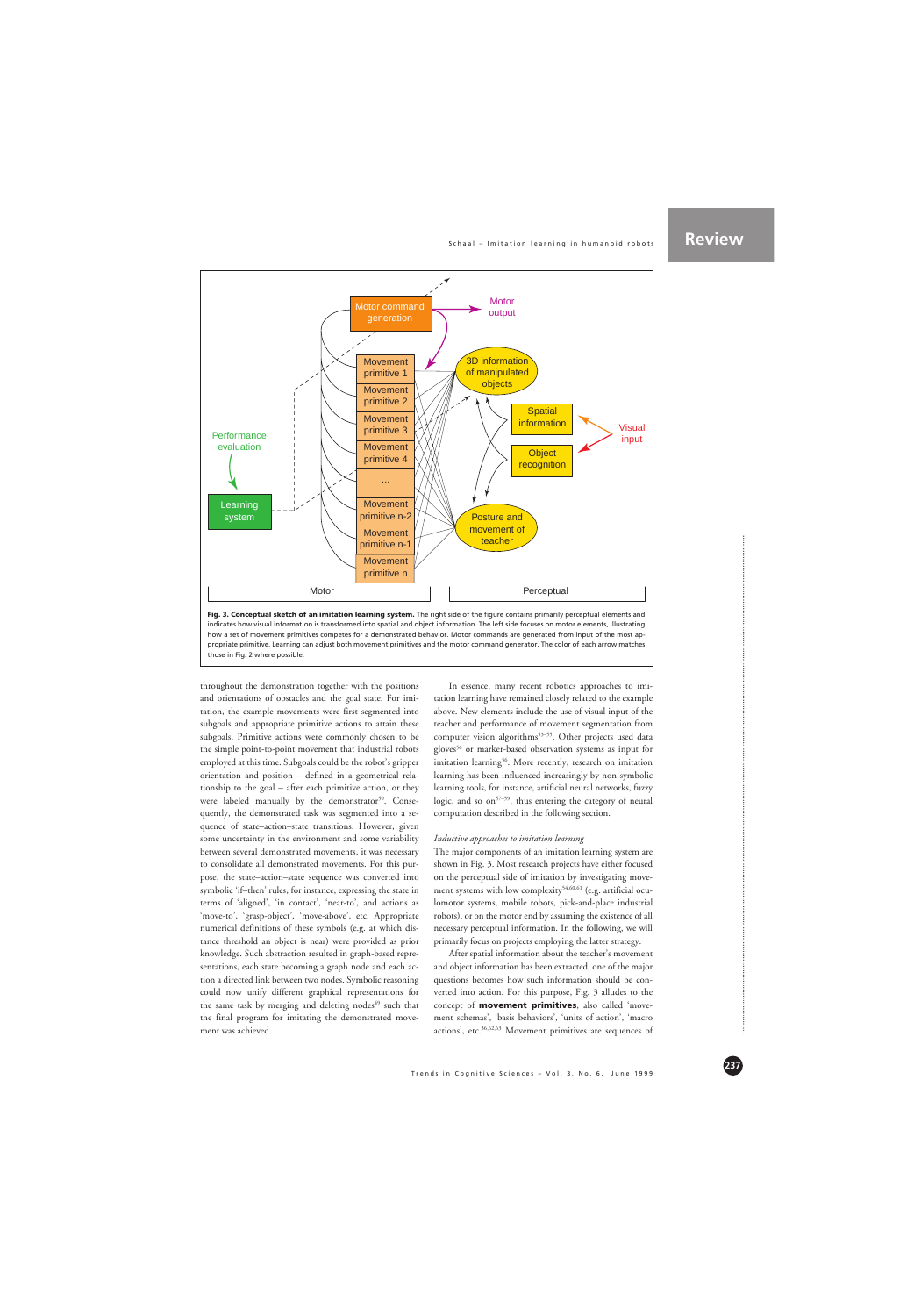## **Review**



throughout the demonstration together with the positions and orientations of obstacles and the goal state. For imitation, the example movements were first segmented into subgoals and appropriate primitive actions to attain these subgoals. Primitive actions were commonly chosen to be the simple point-to-point movement that industrial robots employed at this time. Subgoals could be the robot's gripper orientation and position – defined in a geometrical relationship to the goal – after each primitive action, or they were labeled manually by the demonstrator<sup>50</sup>. Consequently, the demonstrated task was segmented into a sequence of state–action–state transitions. However, given some uncertainty in the environment and some variability between several demonstrated movements, it was necessary to consolidate all demonstrated movements. For this purpose, the state–action–state sequence was converted into symbolic 'if–then' rules, for instance, expressing the state in terms of 'aligned', 'in contact', 'near-to', and actions as 'move-to', 'grasp-object', 'move-above', etc. Appropriate numerical definitions of these symbols (e.g. at which distance threshold an object is near) were provided as prior knowledge. Such abstraction resulted in graph-based representations, each state becoming a graph node and each action a directed link between two nodes. Symbolic reasoning could now unify different graphical representations for the same task by merging and deleting nodes<sup>49</sup> such that the final program for imitating the demonstrated movement was achieved.

In essence, many recent robotics approaches to imitation learning have remained closely related to the example above. New elements include the use of visual input of the teacher and performance of movement segmentation from computer vision algorithms<sup>53-55</sup>. Other projects used data gloves<sup>56</sup> or marker-based observation systems as input for imitation learning<sup>56</sup>. More recently, research on imitation learning has been influenced increasingly by non-symbolic learning tools, for instance, artificial neural networks, fuzzy logic, and so on<sup>57-59</sup>, thus entering the category of neural computation described in the following section.

#### *Inductive approaches to imitation learning*

The major components of an imitation learning system are shown in Fig. 3. Most research projects have either focused on the perceptual side of imitation by investigating movement systems with low complexity<sup>54,60,61</sup> (e.g. artificial oculomotor systems, mobile robots, pick-and-place industrial robots), or on the motor end by assuming the existence of all necessary perceptual information. In the following, we will primarily focus on projects employing the latter strategy.

After spatial information about the teacher's movement and object information has been extracted, one of the major questions becomes how such information should be converted into action. For this purpose, Fig. 3 alludes to the concept of **movement primitives**, also called 'movement schemas', 'basis behaviors', 'units of action', 'macro actions', etc.36,62,63 Movement primitives are sequences of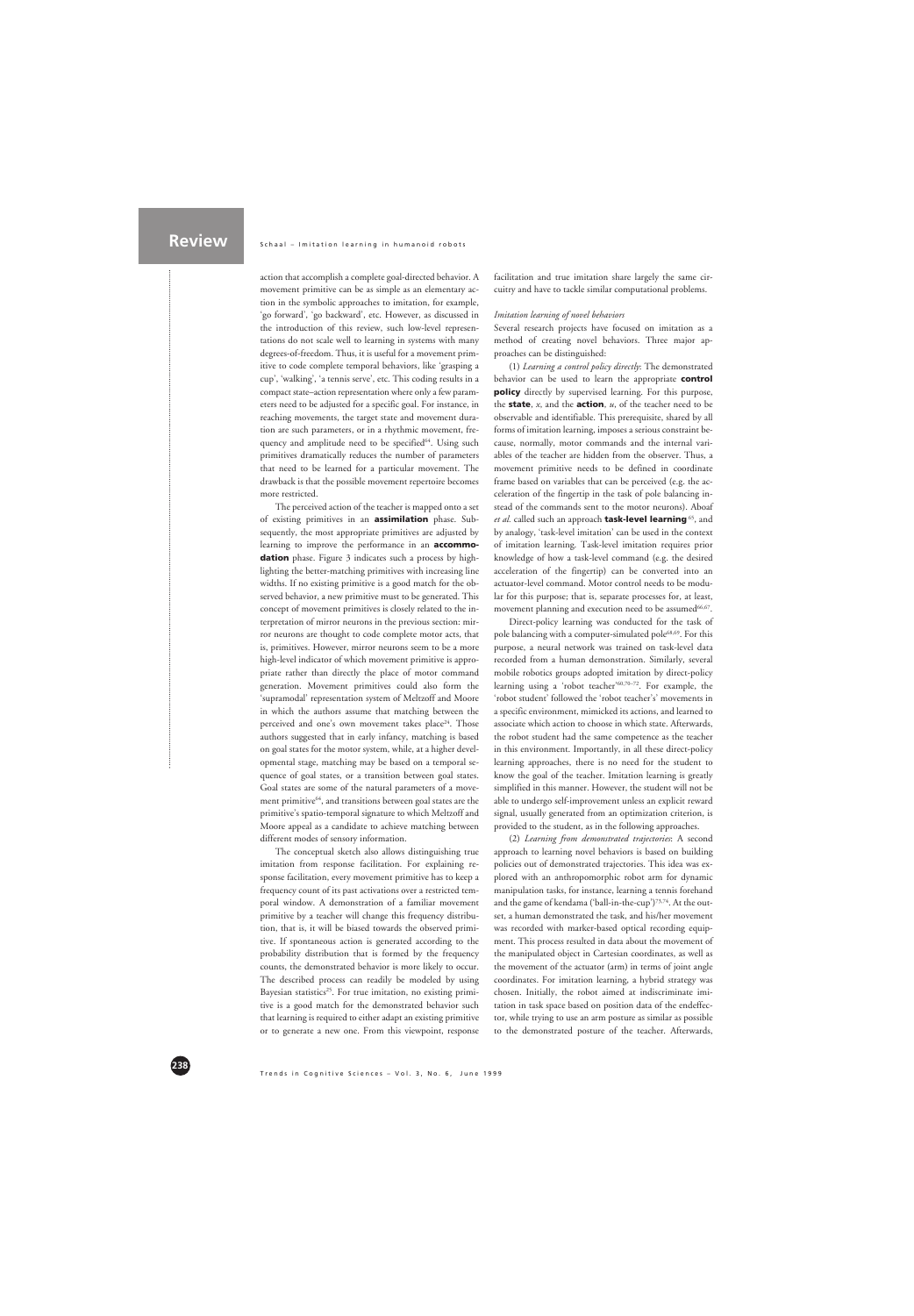**238**

action that accomplish a complete goal-directed behavior. A movement primitive can be as simple as an elementary action in the symbolic approaches to imitation, for example, 'go forward', 'go backward', etc. However, as discussed in the introduction of this review, such low-level representations do not scale well to learning in systems with many degrees-of-freedom. Thus, it is useful for a movement primitive to code complete temporal behaviors, like 'grasping a cup', 'walking', 'a tennis serve', etc. This coding results in a compact state–action representation where only a few parameters need to be adjusted for a specific goal. For instance, in reaching movements, the target state and movement duration are such parameters, or in a rhythmic movement, frequency and amplitude need to be specified<sup>64</sup>. Using such primitives dramatically reduces the number of parameters that need to be learned for a particular movement. The drawback is that the possible movement repertoire becomes more restricted.

The perceived action of the teacher is mapped onto a set of existing primitives in an **assimilation** phase. Subsequently, the most appropriate primitives are adjusted by learning to improve the performance in an **accommo**dation phase. Figure 3 indicates such a process by highlighting the better-matching primitives with increasing line widths. If no existing primitive is a good match for the observed behavior, a new primitive must to be generated. This concept of movement primitives is closely related to the interpretation of mirror neurons in the previous section: mirror neurons are thought to code complete motor acts, that is, primitives. However, mirror neurons seem to be a more high-level indicator of which movement primitive is appropriate rather than directly the place of motor command generation. Movement primitives could also form the 'supramodal' representation system of Meltzoff and Moore in which the authors assume that matching between the perceived and one's own movement takes place<sup>24</sup>. Those authors suggested that in early infancy, matching is based on goal states for the motor system, while, at a higher developmental stage, matching may be based on a temporal sequence of goal states, or a transition between goal states. Goal states are some of the natural parameters of a movement primitive<sup>64</sup>, and transitions between goal states are the primitive's spatio-temporal signature to which Meltzoff and Moore appeal as a candidate to achieve matching between different modes of sensory information.

The conceptual sketch also allows distinguishing true imitation from response facilitation. For explaining response facilitation, every movement primitive has to keep a frequency count of its past activations over a restricted temporal window. A demonstration of a familiar movement primitive by a teacher will change this frequency distribution, that is, it will be biased towards the observed primitive. If spontaneous action is generated according to the probability distribution that is formed by the frequency counts, the demonstrated behavior is more likely to occur. The described process can readily be modeled by using Bayesian statistics<sup>25</sup>. For true imitation, no existing primitive is a good match for the demonstrated behavior such that learning is required to either adapt an existing primitive or to generate a new one. From this viewpoint, response facilitation and true imitation share largely the same circuitry and have to tackle similar computational problems.

#### *Imitation learning of novel behaviors*

Several research projects have focused on imitation as a method of creating novel behaviors. Three major approaches can be distinguished:

(1) *Learning a control policy directly*: The demonstrated behavior can be used to learn the appropriate **control policy** directly by supervised learning. For this purpose, the **state**, *x*, and the **action**, *u*, of the teacher need to be observable and identifiable. This prerequisite, shared by all forms of imitation learning, imposes a serious constraint because, normally, motor commands and the internal variables of the teacher are hidden from the observer. Thus, a movement primitive needs to be defined in coordinate frame based on variables that can be perceived (e.g. the acceleration of the fingertip in the task of pole balancing instead of the commands sent to the motor neurons). Aboaf *et al.* called such an approach **task-level learning** 65, and by analogy, 'task-level imitation' can be used in the context of imitation learning. Task-level imitation requires prior knowledge of how a task-level command (e.g. the desired acceleration of the fingertip) can be converted into an actuator-level command. Motor control needs to be modular for this purpose; that is, separate processes for, at least, movement planning and execution need to be assumed<sup>66,67</sup>.

Direct-policy learning was conducted for the task of pole balancing with a computer-simulated pole<sup>68,69</sup>. For this purpose, a neural network was trained on task-level data recorded from a human demonstration. Similarly, several mobile robotics groups adopted imitation by direct-policy learning using a 'robot teacher'60,70–72. For example, the 'robot student' followed the 'robot teacher's' movements in a specific environment, mimicked its actions, and learned to associate which action to choose in which state. Afterwards, the robot student had the same competence as the teacher in this environment. Importantly, in all these direct-policy learning approaches, there is no need for the student to know the goal of the teacher. Imitation learning is greatly simplified in this manner. However, the student will not be able to undergo self-improvement unless an explicit reward signal, usually generated from an optimization criterion, is provided to the student, as in the following approaches.

(2) *Learning from demonstrated trajectories*: A second approach to learning novel behaviors is based on building policies out of demonstrated trajectories. This idea was explored with an anthropomorphic robot arm for dynamic manipulation tasks, for instance, learning a tennis forehand and the game of kendama ('ball-in-the-cup')<sup>73,74</sup>. At the outset, a human demonstrated the task, and his/her movement was recorded with marker-based optical recording equipment. This process resulted in data about the movement of the manipulated object in Cartesian coordinates, as well as the movement of the actuator (arm) in terms of joint angle coordinates. For imitation learning, a hybrid strategy was chosen. Initially, the robot aimed at indiscriminate imitation in task space based on position data of the endeffector, while trying to use an arm posture as similar as possible to the demonstrated posture of the teacher. Afterwards,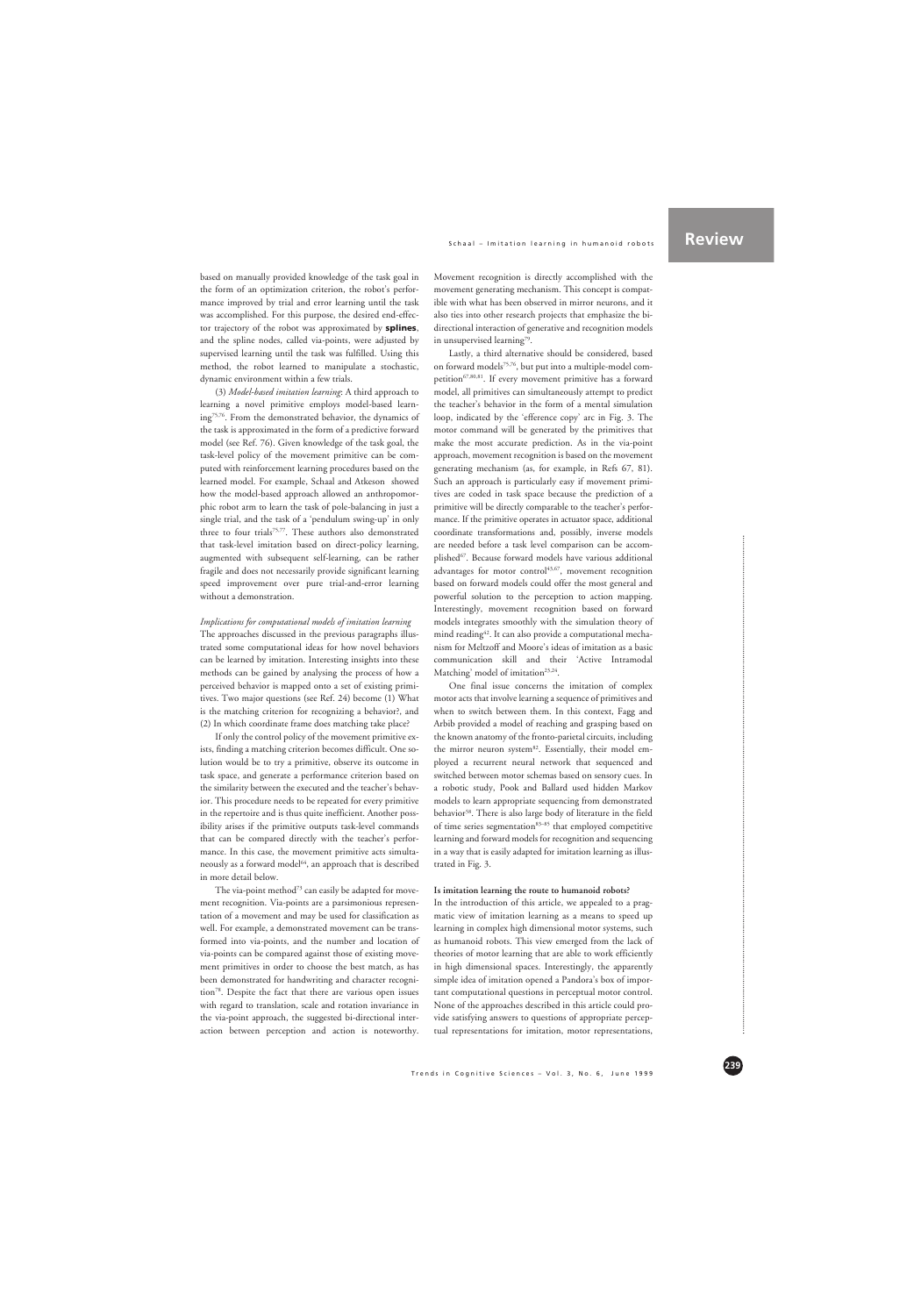based on manually provided knowledge of the task goal in the form of an optimization criterion, the robot's performance improved by trial and error learning until the task was accomplished. For this purpose, the desired end-effector trajectory of the robot was approximated by **splines**, and the spline nodes, called via-points, were adjusted by supervised learning until the task was fulfilled. Using this method, the robot learned to manipulate a stochastic, dynamic environment within a few trials.

(3) *Model-based imitation learning*: A third approach to learning a novel primitive employs model-based learning75,76. From the demonstrated behavior, the dynamics of the task is approximated in the form of a predictive forward model (see Ref. 76). Given knowledge of the task goal, the task-level policy of the movement primitive can be computed with reinforcement learning procedures based on the learned model. For example, Schaal and Atkeson showed how the model-based approach allowed an anthropomorphic robot arm to learn the task of pole-balancing in just a single trial, and the task of a 'pendulum swing-up' in only three to four trials<sup>75,77</sup>. These authors also demonstrated that task-level imitation based on direct-policy learning, augmented with subsequent self-learning, can be rather fragile and does not necessarily provide significant learning speed improvement over pure trial-and-error learning without a demonstration.

#### *Implications for computational models of imitation learning*

The approaches discussed in the previous paragraphs illustrated some computational ideas for how novel behaviors can be learned by imitation. Interesting insights into these methods can be gained by analysing the process of how a perceived behavior is mapped onto a set of existing primitives. Two major questions (see Ref. 24) become (1) What is the matching criterion for recognizing a behavior?, and (2) In which coordinate frame does matching take place?

If only the control policy of the movement primitive exists, finding a matching criterion becomes difficult. One solution would be to try a primitive, observe its outcome in task space, and generate a performance criterion based on the similarity between the executed and the teacher's behavior. This procedure needs to be repeated for every primitive in the repertoire and is thus quite inefficient. Another possibility arises if the primitive outputs task-level commands that can be compared directly with the teacher's performance. In this case, the movement primitive acts simultaneously as a forward model<sup>64</sup>, an approach that is described in more detail below.

The via-point method<sup>73</sup> can easily be adapted for movement recognition. Via-points are a parsimonious representation of a movement and may be used for classification as well. For example, a demonstrated movement can be transformed into via-points, and the number and location of via-points can be compared against those of existing movement primitives in order to choose the best match, as has been demonstrated for handwriting and character recognition78. Despite the fact that there are various open issues with regard to translation, scale and rotation invariance in the via-point approach, the suggested bi-directional interaction between perception and action is noteworthy. Movement recognition is directly accomplished with the movement generating mechanism. This concept is compatible with what has been observed in mirror neurons, and it also ties into other research projects that emphasize the bidirectional interaction of generative and recognition models in unsupervised learning<sup>79</sup>.

Lastly, a third alternative should be considered, based on forward models<sup>75,76</sup>, but put into a multiple-model competition<sup>67,80,81</sup>. If every movement primitive has a forward model, all primitives can simultaneously attempt to predict the teacher's behavior in the form of a mental simulation loop, indicated by the 'efference copy' arc in Fig. 3. The motor command will be generated by the primitives that make the most accurate prediction. As in the via-point approach, movement recognition is based on the movement generating mechanism (as, for example, in Refs 67, 81). Such an approach is particularly easy if movement primitives are coded in task space because the prediction of a primitive will be directly comparable to the teacher's performance. If the primitive operates in actuator space, additional coordinate transformations and, possibly, inverse models are needed before a task level comparison can be accomplished<sup>67</sup>. Because forward models have various additional advantages for motor control<sup>43,67</sup>, movement recognition based on forward models could offer the most general and powerful solution to the perception to action mapping. Interestingly, movement recognition based on forward models integrates smoothly with the simulation theory of mind reading<sup>42</sup>. It can also provide a computational mechanism for Meltzoff and Moore's ideas of imitation as a basic communication skill and their 'Active Intramodal Matching' model of imitation<sup>23,24</sup>.

One final issue concerns the imitation of complex motor acts that involve learning a sequence of primitives and when to switch between them. In this context, Fagg and Arbib provided a model of reaching and grasping based on the known anatomy of the fronto-parietal circuits, including the mirror neuron system<sup>82</sup>. Essentially, their model employed a recurrent neural network that sequenced and switched between motor schemas based on sensory cues. In a robotic study, Pook and Ballard used hidden Markov models to learn appropriate sequencing from demonstrated behavior<sup>58</sup>. There is also large body of literature in the field of time series segmentation<sup>83-85</sup> that employed competitive learning and forward models for recognition and sequencing in a way that is easily adapted for imitation learning as illustrated in Fig. 3.

#### **Is imitation learning the route to humanoid robots?**

In the introduction of this article, we appealed to a pragmatic view of imitation learning as a means to speed up learning in complex high dimensional motor systems, such as humanoid robots. This view emerged from the lack of theories of motor learning that are able to work efficiently in high dimensional spaces. Interestingly, the apparently simple idea of imitation opened a Pandora's box of important computational questions in perceptual motor control. None of the approaches described in this article could provide satisfying answers to questions of appropriate perceptual representations for imitation, motor representations,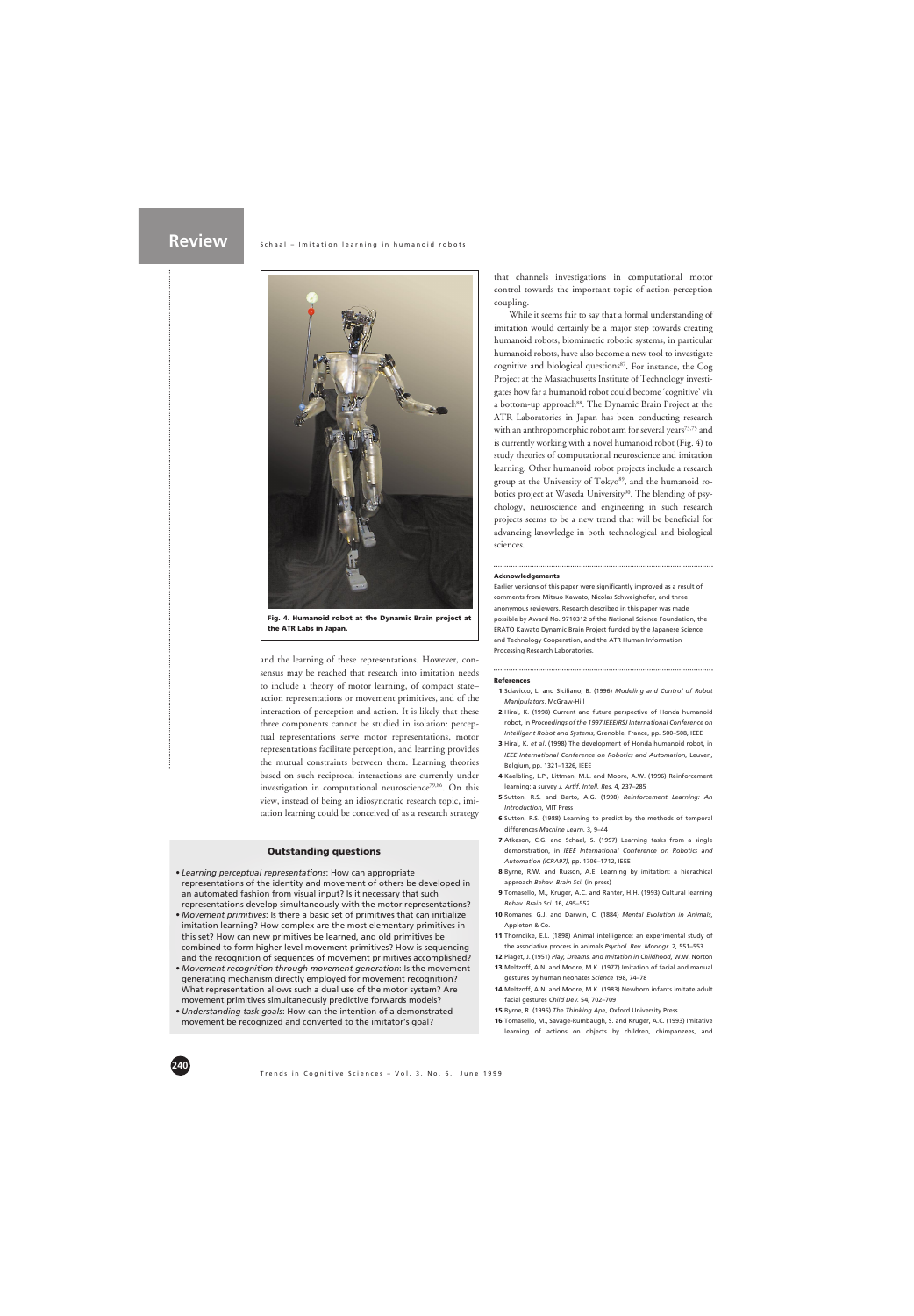

**Fig. 4. Humanoid robot at the Dynamic Brain project at the ATR Labs in Japan.**

and the learning of these representations. However, consensus may be reached that research into imitation needs to include a theory of motor learning, of compact state– action representations or movement primitives, and of the interaction of perception and action. It is likely that these three components cannot be studied in isolation: perceptual representations serve motor representations, motor representations facilitate perception, and learning provides the mutual constraints between them. Learning theories based on such reciprocal interactions are currently under investigation in computational neuroscience<sup>79,86</sup>. On this view, instead of being an idiosyncratic research topic, imitation learning could be conceived of as a research strategy

#### **Outstanding questions**

- *Learning perceptual representations*: How can appropriate representations of the identity and movement of others be developed in an automated fashion from visual input? Is it necessary that such representations develop simultaneously with the motor representations?
- *Movement primitives*: Is there a basic set of primitives that can initialize imitation learning? How complex are the most elementary primitives in this set? How can new primitives be learned, and old primitives be combined to form higher level movement primitives? How is sequencing and the recognition of sequences of movement primitives accomplished?
- *Movement recognition through movement generation*: Is the movement generating mechanism directly employed for movement recognition? What representation allows such a dual use of the motor system? Are movement primitives simultaneously predictive forwards models?
- *Understanding task goals*: How can the intention of a demonstrated movement be recognized and converted to the imitator's goal?

that channels investigations in computational motor control towards the important topic of action-perception coupling.

While it seems fair to say that a formal understanding of imitation would certainly be a major step towards creating humanoid robots, biomimetic robotic systems, in particular humanoid robots, have also become a new tool to investigate cognitive and biological questions<sup>87</sup>. For instance, the Cog Project at the Massachusetts Institute of Technology investigates how far a humanoid robot could become 'cognitive' via a bottom-up approach<sup>88</sup>. The Dynamic Brain Project at the ATR Laboratories in Japan has been conducting research with an anthropomorphic robot arm for several years<sup>73,75</sup> and is currently working with a novel humanoid robot (Fig. 4) to study theories of computational neuroscience and imitation learning. Other humanoid robot projects include a research group at the University of Tokyo<sup>89</sup>, and the humanoid robotics project at Waseda University<sup>90</sup>. The blending of psychology, neuroscience and engineering in such research projects seems to be a new trend that will be beneficial for advancing knowledge in both technological and biological sciences.

#### **Acknowledgements**

Earlier versions of this paper were significantly improved as a result of comments from Mitsuo Kawato, Nicolas Schweighofer, and three anonymous reviewers. Research described in this paper was made possible by Award No. 9710312 of the National Science Foundation, the ERATO Kawato Dynamic Brain Project funded by the Japanese Science and Technology Cooperation, and the ATR Human Information Processing Research Laboratories.

#### **References**

**1** Sciavicco, L. and Siciliano, B. (1996) *Modeling and Control of Robot Manipulators*, McGraw-Hill

- **2** Hirai, K. (1998) Current and future perspective of Honda humanoid robot, in *Proceedings of the 1997 IEEE/RSJ International Conference on Intelligent Robot and Systems*, Grenoble, France, pp. 500–508, IEEE
- **3** Hirai, K. *et al*. (1998) The development of Honda humanoid robot, in *IEEE International Conference on Robotics and Automation*, Leuven, Belgium, pp. 1321–1326, IEEE
- **4** Kaelbling, L.P., Littman, M.L. and Moore, A.W. (1996) Reinforcement learning: a survey *J. Artif. Intell. Res.* 4, 237–285
- **5** Sutton, R.S. and Barto, A.G. (1998) *Reinforcement Learning: An Introduction*, MIT Press
- **6** Sutton, R.S. (1988) Learning to predict by the methods of temporal differences *Machine Learn.* 3, 9–44
- **7** Atkeson, C.G. and Schaal, S. (1997) Learning tasks from a single demonstration, in *IEEE International Conference on Robotics and Automation (ICRA97)*, pp. 1706–1712, IEEE
- **8** Byrne, R.W. and Russon, A.E. Learning by imitation: a hierachical approach *Behav. Brain Sci.* (in press)
- **9** Tomasello, M., Kruger, A.C. and Ranter, H.H. (1993) Cultural learning *Behav. Brain Sci.* 16, 495–552
- **10** Romanes, G.J. and Darwin, C. (1884) *Mental Evolution in Animals*, Appleton & Co.
- **11** Thorndike, E.L. (1898) Animal intelligence: an experimental study of the associative process in animals *Psychol. Rev. Monogr.* 2, 551–553
- **12** Piaget, J. (1951) *Play, Dreams, and Imitation in Childhood*, W.W. Norton **13** Meltzoff, A.N. and Moore, M.K. (1977) Imitation of facial and manual
- gestures by human neonates *Science* 198, 74–78 **14** Meltzoff, A.N. and Moore, M.K. (1983) Newborn infants imitate adult
- facial gestures *Child Dev.* 54, 702–709
- **15** Byrne, R. (1995) *The Thinking Ape*, Oxford University Press
- **16** Tomasello, M., Savage-Rumbaugh, S. and Kruger, A.C. (1993) Imitative learning of actions on objects by children, chimpanzees, and

Trends in Cognitive Sciences – Vol. 3, No. 6, June 1999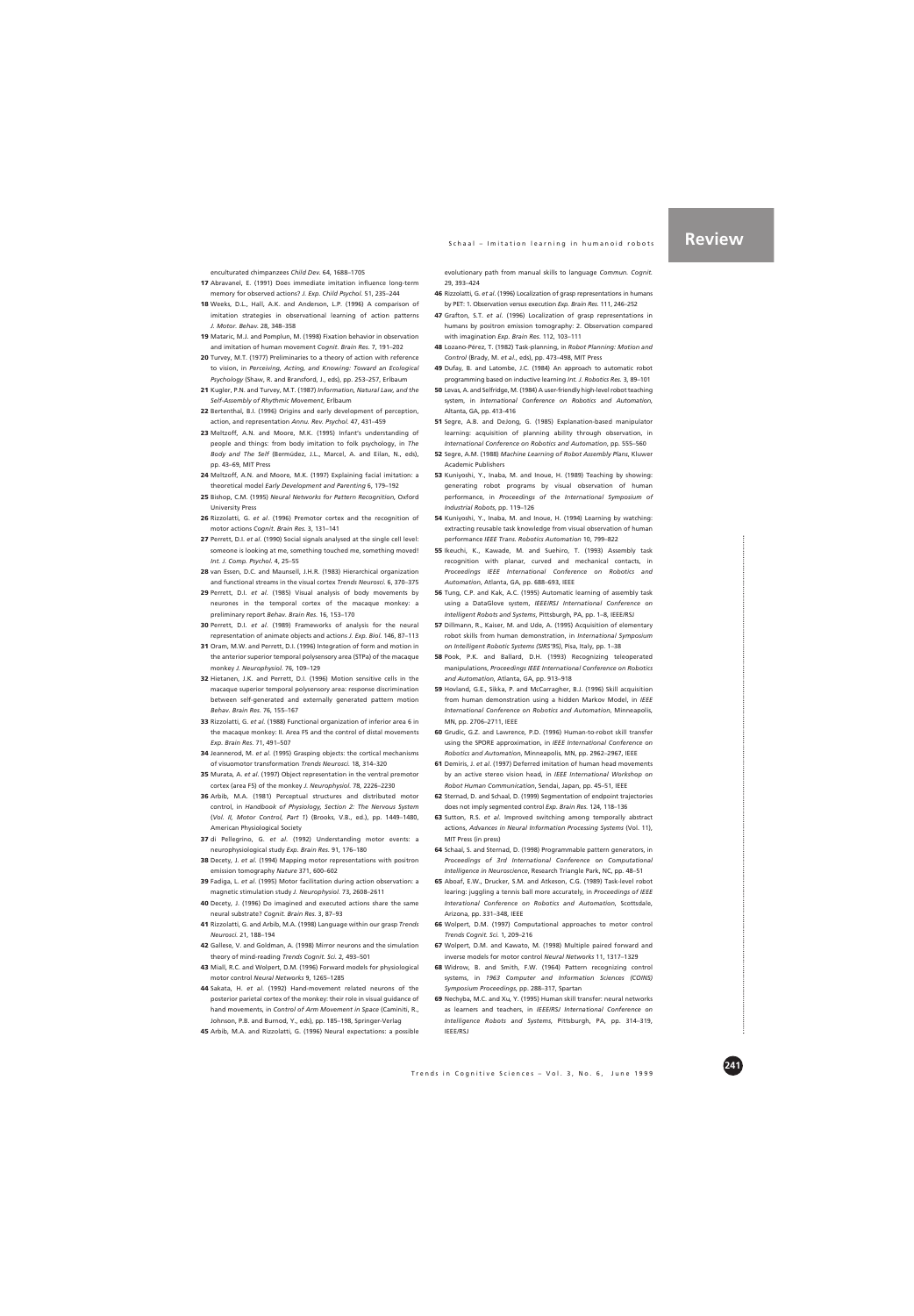enculturated chimpanzees *Child Dev.* 64, 1688–1705

- **17** Abravanel, E. (1991) Does immediate imitation influence long-term memory for observed actions? *J. Exp. Child Psychol.* 51, 235–244
- **18** Weeks, D.L., Hall, A.K. and Anderson, L.P. (1996) A comparison of imitation strategies in observational learning of action patterns *J. Motor. Behav.* 28, 348–358
- **19** Mataric, M.J. and Pomplun, M. (1998) Fixation behavior in observation and imitation of human movement *Cognit. Brain Res.* 7, 191–202
- **20** Turvey, M.T. (1977) Preliminaries to a theory of action with reference to vision, in *Perceiving, Acting, and Knowing: Toward an Ecological Psychology* (Shaw, R. and Bransford, J., eds), pp. 253–257, Erlbaum
- **21** Kugler, P.N. and Turvey, M.T. (1987) *Information, Natural Law, and the Self-Assembly of Rhythmic Movement*, Erlbaum
- **22** Bertenthal, B.I. (1996) Origins and early development of perception, action, and representation *Annu. Rev. Psychol.* 47, 431–459
- **23** Meltzoff, A.N. and Moore, M.K. (1995) Infant's understanding of people and things: from body imitation to folk psychology, in *The Body and The Self* (Bermúdez, J.L., Marcel, A. and Eilan, N., eds), pp. 43–69, MIT Press
- **24** Meltzoff, A.N. and Moore, M.K. (1997) Explaining facial imitation: a theoretical model *Early Development and Parenting* 6, 179–192
- **25** Bishop, C.M. (1995) *Neural Networks for Pattern Recognition*, Oxford University Press
- **26** Rizzolatti, G. *et al*. (1996) Premotor cortex and the recognition of motor actions *Cognit. Brain Res.* 3, 131–141
- **27** Perrett, D.I. *et al*. (1990) Social signals analysed at the single cell level: someone is looking at me, something touched me, something moved! *Int. J. Comp. Psychol.* 4, 25–55
- **28** van Essen, D.C. and Maunsell, J.H.R. (1983) Hierarchical organization and functional streams in the visual cortex *Trends Neurosci.* 6, 370–375
- **29** Perrett, D.I. *et al*. (1985) Visual analysis of body movements by neurones in the temporal cortex of the macaque monkey: a preliminary report *Behav. Brain Res.* 16, 153–170
- **30** Perrett, D.I. *et al*. (1989) Frameworks of analysis for the neural representation of animate objects and actions *J. Exp. Biol.* 146, 87–113
- **31** Oram, M.W. and Perrett, D.I. (1996) Integration of form and motion in the anterior superior temporal polysensory area (STPa) of the macaque monkey *J. Neurophysiol.* 76, 109–129
- **32** Hietanen, J.K. and Perrett, D.I. (1996) Motion sensitive cells in the macaque superior temporal polysensory area: response discrimination between self-generated and externally generated pattern motion *Behav. Brain Res.* 76, 155–167
- **33** Rizzolatti, G. *et al.* (1988) Functional organization of inferior area 6 in the macaque monkey: II. Area F5 and the control of distal movements *Exp. Brain Res.* 71, 491–507
- **34** Jeannerod, M. *et al*. (1995) Grasping objects: the cortical mechanisms of visuomotor transformation *Trends Neurosci.* 18, 314–320
- **35** Murata, A. *et al*. (1997) Object representation in the ventral premotor cortex (area F5) of the monkey *J. Neurophysiol.* 78, 2226–2230
- **36** Arbib, M.A. (1981) Perceptual structures and distributed motor control, in *Handbook of Physiology, Section 2: The Nervous System* (*Vol. II, Motor Control, Part 1*) (Brooks, V.B., ed.), pp. 1449–1480, American Physiological Society
- **37** di Pellegrino, G. *et al*. (1992) Understanding motor events: a neurophysiological study *Exp. Brain Res.* 91, 176–180
- **38** Decety, J. *et al*. (1994) Mapping motor representations with positron emission tomography *Nature* 371, 600–602
- **39** Fadiga, L. *et al*. (1995) Motor facilitation during action observation: a magnetic stimulation study *J. Neurophysiol.* 73, 2608–2611
- **40** Decety, J. (1996) Do imagined and executed actions share the same neural substrate? *Cognit. Brain Res.* 3, 87–93
- **41** Rizzolatti, G. and Arbib, M.A. (1998) Language within our grasp *Trends Neurosci.* 21, 188–194
- **42** Gallese, V. and Goldman, A. (1998) Mirror neurons and the simulation theory of mind-reading *Trends Cognit. Sci.* 2, 493–501
- **43** Miall, R.C. and Wolpert, D.M. (1996) Forward models for physiological motor control *Neural Networks* 9, 1265–1285
- **44** Sakata, H. *et al*. (1992) Hand-movement related neurons of the posterior parietal cortex of the monkey: their role in visual guidance of hand movements, in *Control of Arm Movement in Space* (Caminiti, R., Johnson, P.B. and Burnod, Y., eds), pp. 185–198, Springer-Verlag
- **45** Arbib, M.A. and Rizzolatti, G. (1996) Neural expectations: a possible

evolutionary path from manual skills to language *Commun. Cognit.* 29, 393–424

- **46** Rizzolatti, G. *et al*. (1996) Localization of grasp representations in humans by PET: 1. Observation versus execution *Exp. Brain Res.* 111, 246–252
- **47** Grafton, S.T. *et al*. (1996) Localization of grasp representations in humans by positron emission tomography: 2. Observation compared with imagination *Exp. Brain Res.* 112, 103–111
- **48** Lozano-Pérez, T. (1982) Task-planning, in *Robot Planning: Motion and Control* (Brady, M. *et al.*, eds), pp. 473–498, MIT Press
- **49** Dufay, B. and Latombe, J.C. (1984) An approach to automatic robot programming based on inductive learning *Int. J. Robotics Res.* 3, 89–101
- **50** Levas, A. and Selfridge, M. (1984) A user-friendly high-level robot teaching system, in *International Conference on Robotics and Automation*, Altanta, GA, pp. 413–416
- **51** Segre, A.B. and DeJong, G. (1985) Explanation-based manipulator learning: acquisition of planning ability through observation, in *International Conference on Robotics and Automation*, pp. 555–560
- **52** Segre, A.M. (1988) *Machine Learning of Robot Assembly Plans*, Kluwer Academic Publishers
- **53** Kuniyoshi, Y., Inaba, M. and Inoue, H. (1989) Teaching by showing: generating robot programs by visual observation of human performance, in *Proceedings of the International Symposium of Industrial Robots*, pp. 119–126
- **54** Kuniyoshi, Y., Inaba, M. and Inoue, H. (1994) Learning by watching: extracting reusable task knowledge from visual observation of human performance *IEEE Trans. Robotics Automation* 10, 799–822
- **55** Ikeuchi, K., Kawade, M. and Suehiro, T. (1993) Assembly task recognition with planar, curved and mechanical contacts, in *Proceedings IEEE International Conference on Robotics and Automation*, Atlanta, GA, pp. 688–693, IEEE
- **56** Tung, C.P. and Kak, A.C. (1995) Automatic learning of assembly task using a DataGlove system, *IEEE/RSJ International Conference on Intelligent Robots and Systems*, Pittsburgh, PA, pp. 1–8, IEEE/RSJ
- **57** Dillmann, R., Kaiser, M. and Ude, A. (1995) Acquisition of elementary robot skills from human demonstration, in *International Symposium on Intelligent Robotic Systems (SIRS'95)*, Pisa, Italy, pp. 1–38
- **58** Pook, P.K. and Ballard, D.H. (1993) Recognizing teleoperated manipulations, *Proceedings IEEE International Conference on Robotics and Automation*, Atlanta, GA, pp. 913–918
- **59** Hovland, G.E., Sikka, P. and McCarragher, B.J. (1996) Skill acquisition from human demonstration using a hidden Markov Model, in *IEEE International Conference on Robotics and Automation*, Minneapolis, MN, pp. 2706–2711, IEEE
- **60** Grudic, G.Z. and Lawrence, P.D. (1996) Human-to-robot skill transfer using the SPORE approximation, in *IEEE International Conference on Robotics and Automation*, Minneapolis, MN, pp. 2962–2967, IEEE
- **61** Demiris, J. *et al*. (1997) Deferred imitation of human head movements by an active stereo vision head, in *IEEE International Workshop on Robot Human Communication*, Sendai, Japan, pp. 45–51, IEEE
- **62** Sternad, D. and Schaal, D. (1999) Segmentation of endpoint trajectories does not imply segmented control *Exp. Brain Res.* 124, 118–136
- **63** Sutton, R.S. *et al*. Improved switching among temporally abstract actions, *Advances in Neural Information Processing Systems* (Vol. 11), MIT Press (in press)
- **64** Schaal, S. and Sternad, D. (1998) Programmable pattern generators, in *Proceedings of 3rd International Conference on Computational Intelligence in Neuroscience*, Research Triangle Park, NC, pp. 48–51
- **65** Aboaf, E.W., Drucker, S.M. and Atkeson, C.G. (1989) Task-level robot learing: juggling a tennis ball more accurately, in *Proceedings of IEEE Interational Conference on Robotics and Automation*, Scottsdale, Arizona, pp. 331–348, IEEE
- **66** Wolpert, D.M. (1997) Computational approaches to motor control *Trends Cognit. Sci.* 1, 209–216
- **67** Wolpert, D.M. and Kawato, M. (1998) Multiple paired forward and inverse models for motor control *Neural Networks* 11, 1317–1329
- **68** Widrow, B. and Smith, F.W. (1964) Pattern recognizing control systems, in *1963 Computer and Information Sciences (COINS) Symposium Proceedings*, pp. 288–317, Spartan
- **69** Nechyba, M.C. and Xu, Y. (1995) Human skill transfer: neural networks as learners and teachers, in *IEEE/RSJ International Conference on Intelligence Robots and Systems*, Pittsburgh, PA, pp. 314–319, IEEE/RSJ